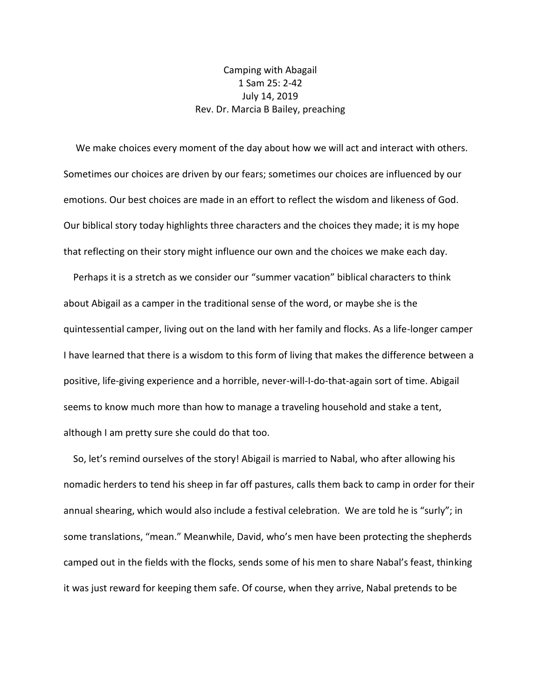## Camping with Abagail 1 Sam 25: 2-42 July 14, 2019 Rev. Dr. Marcia B Bailey, preaching

 We make choices every moment of the day about how we will act and interact with others. Sometimes our choices are driven by our fears; sometimes our choices are influenced by our emotions. Our best choices are made in an effort to reflect the wisdom and likeness of God. Our biblical story today highlights three characters and the choices they made; it is my hope that reflecting on their story might influence our own and the choices we make each day.

 Perhaps it is a stretch as we consider our "summer vacation" biblical characters to think about Abigail as a camper in the traditional sense of the word, or maybe she is the quintessential camper, living out on the land with her family and flocks. As a life-longer camper I have learned that there is a wisdom to this form of living that makes the difference between a positive, life-giving experience and a horrible, never-will-I-do-that-again sort of time. Abigail seems to know much more than how to manage a traveling household and stake a tent, although I am pretty sure she could do that too.

 So, let's remind ourselves of the story! Abigail is married to Nabal, who after allowing his nomadic herders to tend his sheep in far off pastures, calls them back to camp in order for their annual shearing, which would also include a festival celebration. We are told he is "surly"; in some translations, "mean." Meanwhile, David, who's men have been protecting the shepherds camped out in the fields with the flocks, sends some of his men to share Nabal's feast, thinking it was just reward for keeping them safe. Of course, when they arrive, Nabal pretends to be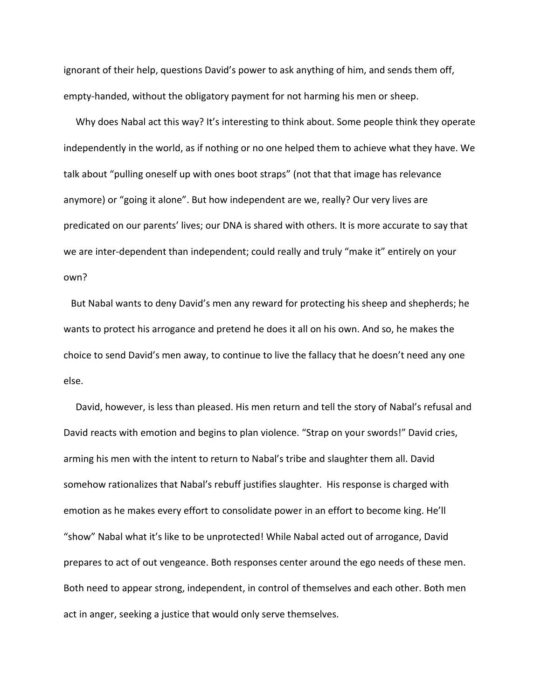ignorant of their help, questions David's power to ask anything of him, and sends them off, empty-handed, without the obligatory payment for not harming his men or sheep.

 Why does Nabal act this way? It's interesting to think about. Some people think they operate independently in the world, as if nothing or no one helped them to achieve what they have. We talk about "pulling oneself up with ones boot straps" (not that that image has relevance anymore) or "going it alone". But how independent are we, really? Our very lives are predicated on our parents' lives; our DNA is shared with others. It is more accurate to say that we are inter-dependent than independent; could really and truly "make it" entirely on your own?

 But Nabal wants to deny David's men any reward for protecting his sheep and shepherds; he wants to protect his arrogance and pretend he does it all on his own. And so, he makes the choice to send David's men away, to continue to live the fallacy that he doesn't need any one else.

 David, however, is less than pleased. His men return and tell the story of Nabal's refusal and David reacts with emotion and begins to plan violence. "Strap on your swords!" David cries, arming his men with the intent to return to Nabal's tribe and slaughter them all. David somehow rationalizes that Nabal's rebuff justifies slaughter. His response is charged with emotion as he makes every effort to consolidate power in an effort to become king. He'll "show" Nabal what it's like to be unprotected! While Nabal acted out of arrogance, David prepares to act of out vengeance. Both responses center around the ego needs of these men. Both need to appear strong, independent, in control of themselves and each other. Both men act in anger, seeking a justice that would only serve themselves.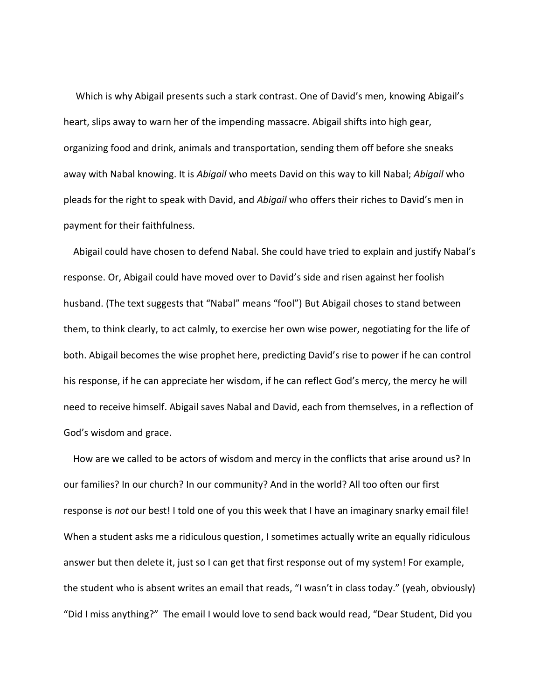Which is why Abigail presents such a stark contrast. One of David's men, knowing Abigail's heart, slips away to warn her of the impending massacre. Abigail shifts into high gear, organizing food and drink, animals and transportation, sending them off before she sneaks away with Nabal knowing. It is *Abigail* who meets David on this way to kill Nabal; *Abigail* who pleads for the right to speak with David, and *Abigail* who offers their riches to David's men in payment for their faithfulness.

 Abigail could have chosen to defend Nabal. She could have tried to explain and justify Nabal's response. Or, Abigail could have moved over to David's side and risen against her foolish husband. (The text suggests that "Nabal" means "fool") But Abigail choses to stand between them, to think clearly, to act calmly, to exercise her own wise power, negotiating for the life of both. Abigail becomes the wise prophet here, predicting David's rise to power if he can control his response, if he can appreciate her wisdom, if he can reflect God's mercy, the mercy he will need to receive himself. Abigail saves Nabal and David, each from themselves, in a reflection of God's wisdom and grace.

 How are we called to be actors of wisdom and mercy in the conflicts that arise around us? In our families? In our church? In our community? And in the world? All too often our first response is *not* our best! I told one of you this week that I have an imaginary snarky email file! When a student asks me a ridiculous question, I sometimes actually write an equally ridiculous answer but then delete it, just so I can get that first response out of my system! For example, the student who is absent writes an email that reads, "I wasn't in class today." (yeah, obviously) "Did I miss anything?" The email I would love to send back would read, "Dear Student, Did you